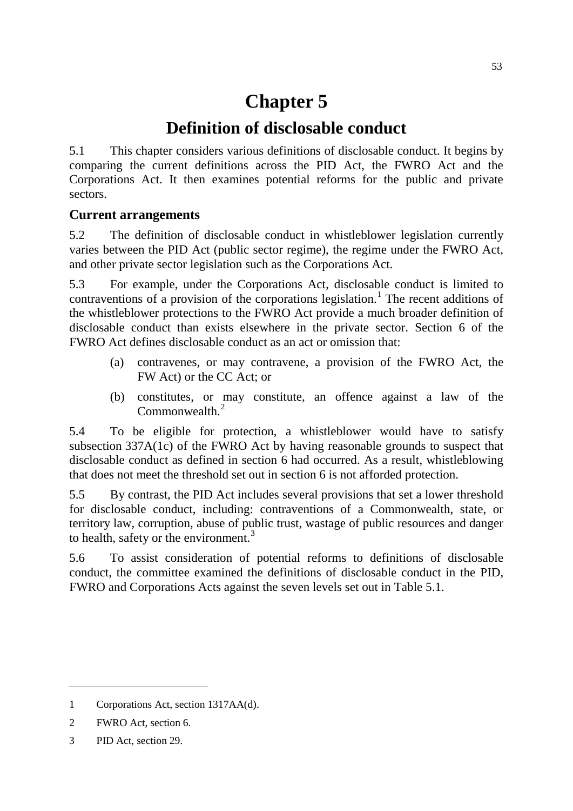# **Chapter 5**

# **Definition of disclosable conduct**

5.1 This chapter considers various definitions of disclosable conduct. It begins by comparing the current definitions across the PID Act, the FWRO Act and the Corporations Act. It then examines potential reforms for the public and private sectors.

### **Current arrangements**

5.2 The definition of disclosable conduct in whistleblower legislation currently varies between the PID Act (public sector regime), the regime under the FWRO Act, and other private sector legislation such as the Corporations Act.

5.3 For example, under the Corporations Act, disclosable conduct is limited to contraventions of a provision of the corporations legislation.<sup>[1](#page-0-0)</sup> The recent additions of the whistleblower protections to the FWRO Act provide a much broader definition of disclosable conduct than exists elsewhere in the private sector. Section 6 of the FWRO Act defines disclosable conduct as an act or omission that:

- (a) contravenes, or may contravene, a provision of the FWRO Act, the FW Act) or the CC Act; or
- (b) constitutes, or may constitute, an offence against a law of the Commonwealth<sup>[2](#page-0-1)</sup>

5.4 To be eligible for protection, a whistleblower would have to satisfy subsection 337A(1c) of the FWRO Act by having reasonable grounds to suspect that disclosable conduct as defined in section 6 had occurred. As a result, whistleblowing that does not meet the threshold set out in section 6 is not afforded protection.

5.5 By contrast, the PID Act includes several provisions that set a lower threshold for disclosable conduct, including: contraventions of a Commonwealth, state, or territory law, corruption, abuse of public trust, wastage of public resources and danger to health, safety or the environment.<sup>[3](#page-0-2)</sup>

5.6 To assist consideration of potential reforms to definitions of disclosable conduct, the committee examined the definitions of disclosable conduct in the PID, FWRO and Corporations Acts against the seven levels set out in Table 5.1.

<span id="page-0-0"></span><sup>1</sup> Corporations Act, section 1317AA(d).

<span id="page-0-1"></span><sup>2</sup> FWRO Act, section 6.

<span id="page-0-2"></span><sup>3</sup> PID Act, section 29.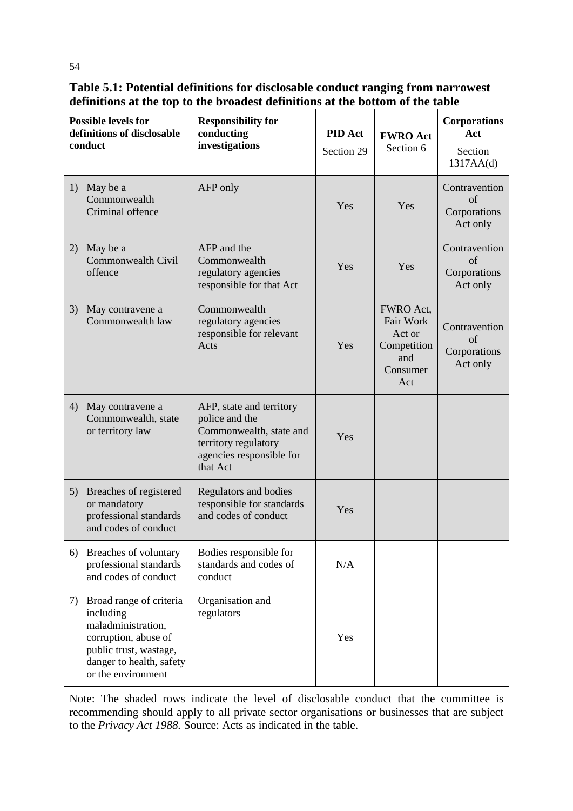**Table 5.1: Potential definitions for disclosable conduct ranging from narrowest definitions at the top to the broadest definitions at the bottom of the table**

| <b>Possible levels for</b><br>definitions of disclosable<br>conduct |                                                                                                                                                                | <b>Responsibility for</b><br>conducting<br>investigations                                                                             | <b>PID</b> Act<br>Section 29 | <b>FWRO</b> Act<br>Section 6                                              | <b>Corporations</b><br>Act<br>Section<br>1317AA(d)      |
|---------------------------------------------------------------------|----------------------------------------------------------------------------------------------------------------------------------------------------------------|---------------------------------------------------------------------------------------------------------------------------------------|------------------------------|---------------------------------------------------------------------------|---------------------------------------------------------|
| 1)                                                                  | May be a<br>Commonwealth<br>Criminal offence                                                                                                                   | AFP only                                                                                                                              | Yes                          | Yes                                                                       | Contravention<br>$\sigma$ f<br>Corporations<br>Act only |
| 2)                                                                  | May be a<br>Commonwealth Civil<br>offence                                                                                                                      | AFP and the<br>Commonwealth<br>regulatory agencies<br>responsible for that Act                                                        | Yes                          | Yes                                                                       | Contravention<br>οf<br>Corporations<br>Act only         |
| 3)                                                                  | May contravene a<br>Commonwealth law                                                                                                                           | Commonwealth<br>regulatory agencies<br>responsible for relevant<br>Acts                                                               | Yes                          | FWRO Act,<br>Fair Work<br>Act or<br>Competition<br>and<br>Consumer<br>Act | Contravention<br>of<br>Corporations<br>Act only         |
| 4)                                                                  | May contravene a<br>Commonwealth, state<br>or territory law                                                                                                    | AFP, state and territory<br>police and the<br>Commonwealth, state and<br>territory regulatory<br>agencies responsible for<br>that Act | Yes                          |                                                                           |                                                         |
| 5)                                                                  | Breaches of registered<br>or mandatory<br>professional standards<br>and codes of conduct                                                                       | Regulators and bodies<br>responsible for standards<br>and codes of conduct                                                            | Yes                          |                                                                           |                                                         |
| 6)                                                                  | Breaches of voluntary<br>professional standards<br>and codes of conduct                                                                                        | Bodies responsible for<br>standards and codes of<br>conduct                                                                           | N/A                          |                                                                           |                                                         |
| 7)                                                                  | Broad range of criteria<br>including<br>maladministration,<br>corruption, abuse of<br>public trust, wastage,<br>danger to health, safety<br>or the environment | Organisation and<br>regulators                                                                                                        | Yes                          |                                                                           |                                                         |

Note: The shaded rows indicate the level of disclosable conduct that the committee is recommending should apply to all private sector organisations or businesses that are subject to the *Privacy Act 1988.* Source: Acts as indicated in the table.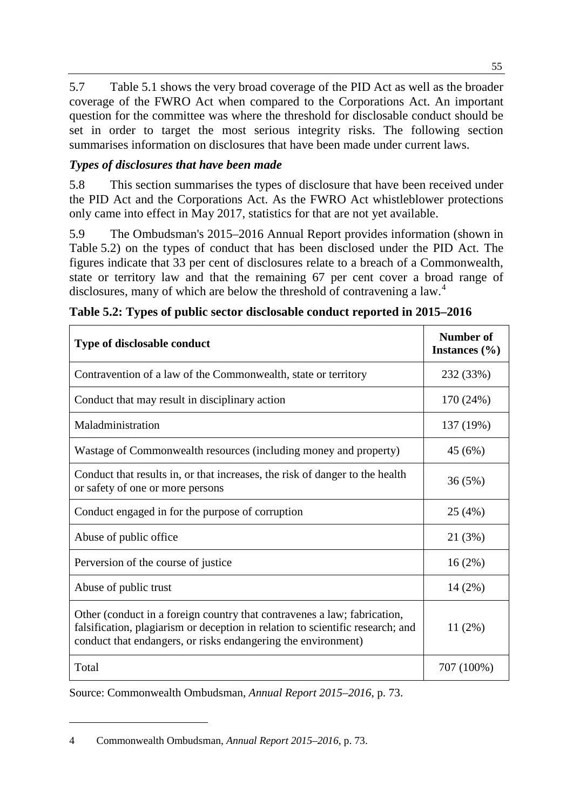5.7 Table 5.1 shows the very broad coverage of the PID Act as well as the broader coverage of the FWRO Act when compared to the Corporations Act. An important question for the committee was where the threshold for disclosable conduct should be set in order to target the most serious integrity risks. The following section summarises information on disclosures that have been made under current laws.

# *Types of disclosures that have been made*

5.8 This section summarises the types of disclosure that have been received under the PID Act and the Corporations Act. As the FWRO Act whistleblower protections only came into effect in May 2017, statistics for that are not yet available.

5.9 The Ombudsman's 2015–2016 Annual Report provides information (shown in Table 5.2) on the types of conduct that has been disclosed under the PID Act. The figures indicate that 33 per cent of disclosures relate to a breach of a Commonwealth, state or territory law and that the remaining 67 per cent cover a broad range of disclosures, many of which are below the threshold of contravening a law.<sup>[4](#page-2-0)</sup>

| <b>Type of disclosable conduct</b>                                                                                                                                                                                          | Number of<br>Instances $(\% )$ |
|-----------------------------------------------------------------------------------------------------------------------------------------------------------------------------------------------------------------------------|--------------------------------|
| Contravention of a law of the Commonwealth, state or territory                                                                                                                                                              | 232 (33%)                      |
| Conduct that may result in disciplinary action                                                                                                                                                                              | 170 (24%)                      |
| Maladministration                                                                                                                                                                                                           | 137 (19%)                      |
| Wastage of Commonwealth resources (including money and property)                                                                                                                                                            | 45 (6%)                        |
| Conduct that results in, or that increases, the risk of danger to the health<br>or safety of one or more persons                                                                                                            | 36(5%)                         |
| Conduct engaged in for the purpose of corruption                                                                                                                                                                            | 25(4%)                         |
| Abuse of public office                                                                                                                                                                                                      | 21 (3%)                        |
| Perversion of the course of justice                                                                                                                                                                                         | 16(2%)                         |
| Abuse of public trust                                                                                                                                                                                                       | $14(2\%)$                      |
| Other (conduct in a foreign country that contravenes a law; fabrication,<br>falsification, plagiarism or deception in relation to scientific research; and<br>conduct that endangers, or risks endangering the environment) | $11(2\%)$                      |
| Total                                                                                                                                                                                                                       | 707 (100%)                     |

|  | Table 5.2: Types of public sector disclosable conduct reported in 2015–2016 |  |
|--|-----------------------------------------------------------------------------|--|
|  |                                                                             |  |

Source: Commonwealth Ombudsman, *Annual Report 2015–2016*, p. 73.

<span id="page-2-0"></span><sup>4</sup> Commonwealth Ombudsman, *Annual Report 2015–2016*, p. 73.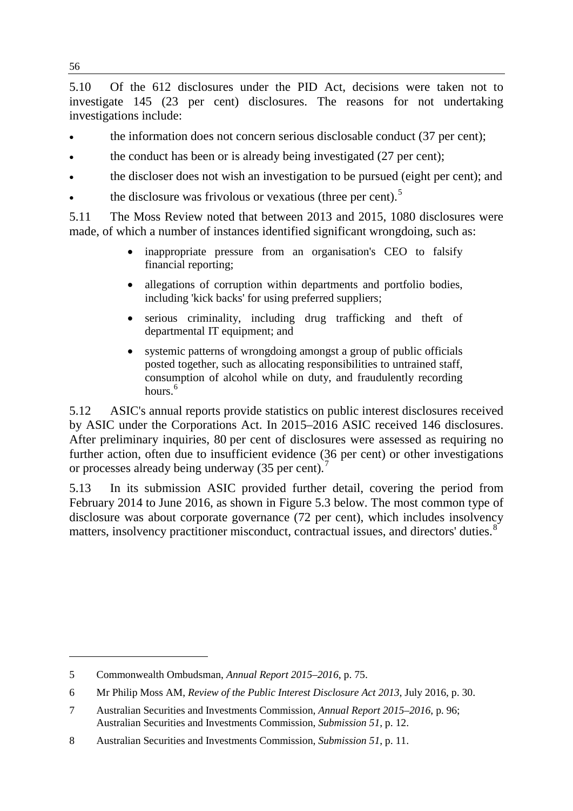5.10 Of the 612 disclosures under the PID Act, decisions were taken not to investigate 145 (23 per cent) disclosures. The reasons for not undertaking investigations include:

- the information does not concern serious disclosable conduct (37 per cent);
- the conduct has been or is already being investigated (27 per cent);
- the discloser does not wish an investigation to be pursued (eight per cent); and
- the disclosure was frivolous or vexatious (three per cent).<sup>[5](#page-3-0)</sup>

5.11 The Moss Review noted that between 2013 and 2015, 1080 disclosures were made, of which a number of instances identified significant wrongdoing, such as:

- inappropriate pressure from an organisation's CEO to falsify financial reporting;
- allegations of corruption within departments and portfolio bodies, including 'kick backs' for using preferred suppliers;
- serious criminality, including drug trafficking and theft of departmental IT equipment; and
- systemic patterns of wrongdoing amongst a group of public officials posted together, such as allocating responsibilities to untrained staff, consumption of alcohol while on duty, and fraudulently recording hours.<sup>[6](#page-3-1)</sup>

5.12 ASIC's annual reports provide statistics on public interest disclosures received by ASIC under the Corporations Act. In 2015–2016 ASIC received 146 disclosures. After preliminary inquiries, 80 per cent of disclosures were assessed as requiring no further action, often due to insufficient evidence (36 per cent) or other investigations or processes already being underway (35 per cent).<sup>[7](#page-3-2)</sup>

5.13 In its submission ASIC provided further detail, covering the period from February 2014 to June 2016, as shown in Figure 5.3 below. The most common type of disclosure was about corporate governance (72 per cent), which includes insolvency matters, insolvency practitioner misconduct, contractual issues, and directors' duties.<sup>[8](#page-3-3)</sup>

<span id="page-3-0"></span><sup>5</sup> Commonwealth Ombudsman, *Annual Report 2015–2016*, p. 75.

<span id="page-3-1"></span><sup>6</sup> Mr Philip Moss AM, *Review of the Public Interest Disclosure Act 2013*, July 2016, p. 30.

<span id="page-3-2"></span><sup>7</sup> Australian Securities and Investments Commission, *Annual Report 2015–2016*, p. 96; Australian Securities and Investments Commission, *Submission 51*, p. 12.

<span id="page-3-3"></span><sup>8</sup> Australian Securities and Investments Commission, *Submission 51*, p. 11.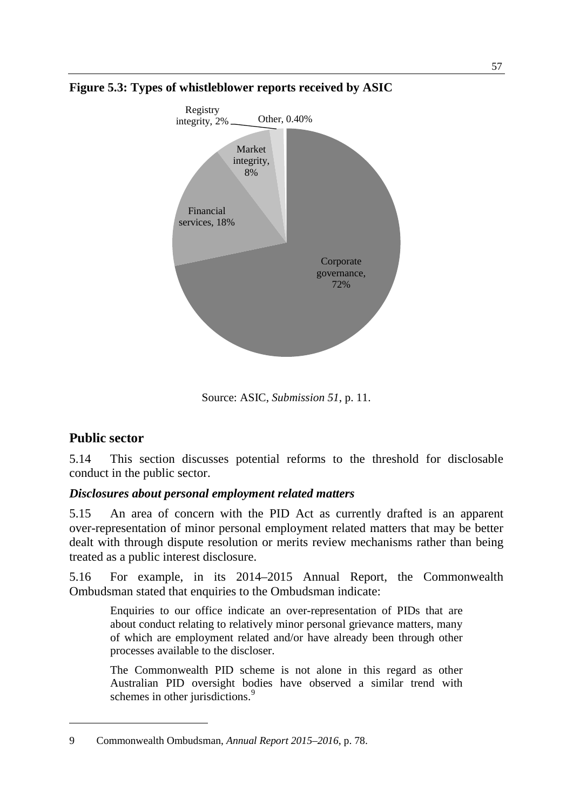

**Figure 5.3: Types of whistleblower reports received by ASIC**

Source: ASIC, *Submission 51*, p. 11.

# **Public sector**

-

5.14 This section discusses potential reforms to the threshold for disclosable conduct in the public sector.

# *Disclosures about personal employment related matters*

5.15 An area of concern with the PID Act as currently drafted is an apparent over-representation of minor personal employment related matters that may be better dealt with through dispute resolution or merits review mechanisms rather than being treated as a public interest disclosure.

5.16 For example, in its 2014–2015 Annual Report, the Commonwealth Ombudsman stated that enquiries to the Ombudsman indicate:

Enquiries to our office indicate an over-representation of PIDs that are about conduct relating to relatively minor personal grievance matters, many of which are employment related and/or have already been through other processes available to the discloser.

The Commonwealth PID scheme is not alone in this regard as other Australian PID oversight bodies have observed a similar trend with schemes in other jurisdictions.<sup>[9](#page-4-0)</sup>

<span id="page-4-0"></span><sup>9</sup> Commonwealth Ombudsman, *Annual Report 2015–2016*, p. 78.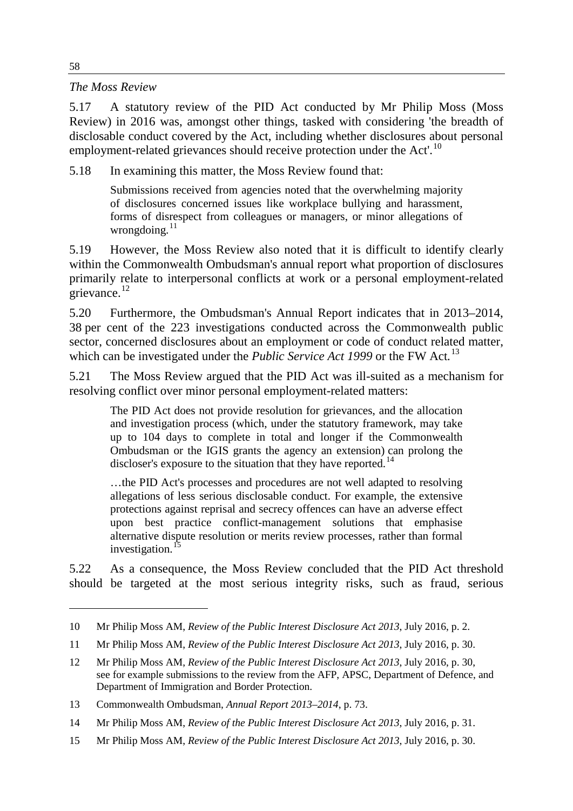#### *The Moss Review*

5.17 A statutory review of the PID Act conducted by Mr Philip Moss (Moss Review) in 2016 was, amongst other things, tasked with considering 'the breadth of disclosable conduct covered by the Act, including whether disclosures about personal employment-related grievances should receive protection under the Act'.<sup>[10](#page-5-0)</sup>

5.18 In examining this matter, the Moss Review found that:

Submissions received from agencies noted that the overwhelming majority of disclosures concerned issues like workplace bullying and harassment, forms of disrespect from colleagues or managers, or minor allegations of wrongdoing. $^{11}$  $^{11}$  $^{11}$ 

5.19 However, the Moss Review also noted that it is difficult to identify clearly within the Commonwealth Ombudsman's annual report what proportion of disclosures primarily relate to interpersonal conflicts at work or a personal employment-related  $\text{e}$ grievance.<sup>[12](#page-5-2)</sup>

5.20 Furthermore, the Ombudsman's Annual Report indicates that in 2013–2014, 38 per cent of the 223 investigations conducted across the Commonwealth public sector, concerned disclosures about an employment or code of conduct related matter, which can be investigated under the *Public Service Act 1999* or the FW Act*.* [13](#page-5-3)

5.21 The Moss Review argued that the PID Act was ill-suited as a mechanism for resolving conflict over minor personal employment-related matters:

The PID Act does not provide resolution for grievances, and the allocation and investigation process (which, under the statutory framework, may take up to 104 days to complete in total and longer if the Commonwealth Ombudsman or the IGIS grants the agency an extension) can prolong the discloser's exposure to the situation that they have reported.<sup>[14](#page-5-4)</sup>

…the PID Act's processes and procedures are not well adapted to resolving allegations of less serious disclosable conduct. For example, the extensive protections against reprisal and secrecy offences can have an adverse effect upon best practice conflict-management solutions that emphasise alternative dispute resolution or merits review processes, rather than formal investigation.<sup>[15](#page-5-5)</sup>

5.22 As a consequence, the Moss Review concluded that the PID Act threshold should be targeted at the most serious integrity risks, such as fraud, serious

<span id="page-5-0"></span><sup>10</sup> Mr Philip Moss AM, *Review of the Public Interest Disclosure Act 2013*, July 2016, p. 2.

<span id="page-5-1"></span><sup>11</sup> Mr Philip Moss AM, *Review of the Public Interest Disclosure Act 2013*, July 2016, p. 30.

<span id="page-5-2"></span><sup>12</sup> Mr Philip Moss AM, *Review of the Public Interest Disclosure Act 2013*, July 2016, p. 30, see for example submissions to the review from the AFP, APSC, Department of Defence, and Department of Immigration and Border Protection.

<span id="page-5-3"></span><sup>13</sup> Commonwealth Ombudsman, *Annual Report 2013–2014*, p. 73.

<span id="page-5-4"></span><sup>14</sup> Mr Philip Moss AM, *Review of the Public Interest Disclosure Act 2013*, July 2016, p. 31.

<span id="page-5-5"></span><sup>15</sup> Mr Philip Moss AM, *Review of the Public Interest Disclosure Act 2013*, July 2016, p. 30.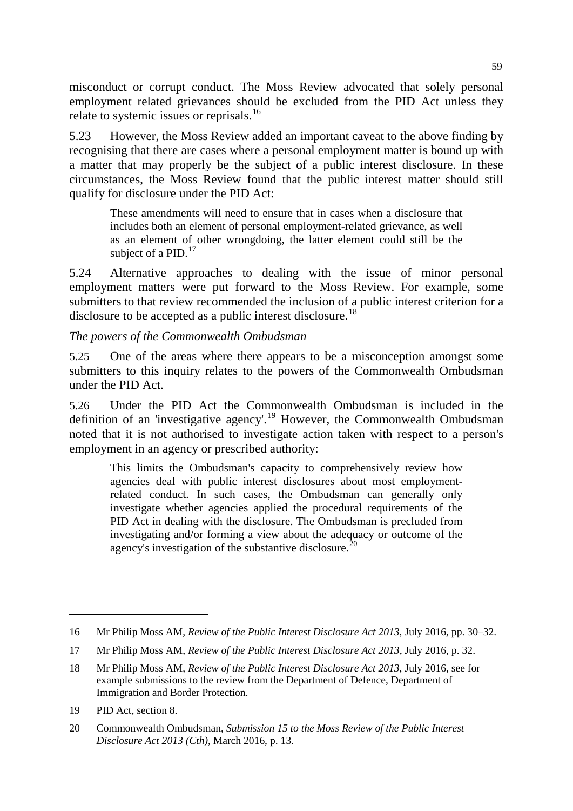misconduct or corrupt conduct. The Moss Review advocated that solely personal employment related grievances should be excluded from the PID Act unless they relate to systemic issues or reprisals.<sup>[16](#page-6-0)</sup>

5.23 However, the Moss Review added an important caveat to the above finding by recognising that there are cases where a personal employment matter is bound up with a matter that may properly be the subject of a public interest disclosure. In these circumstances, the Moss Review found that the public interest matter should still qualify for disclosure under the PID Act:

These amendments will need to ensure that in cases when a disclosure that includes both an element of personal employment-related grievance, as well as an element of other wrongdoing, the latter element could still be the subject of a PID. $^{17}$  $^{17}$  $^{17}$ 

5.24 Alternative approaches to dealing with the issue of minor personal employment matters were put forward to the Moss Review. For example, some submitters to that review recommended the inclusion of a public interest criterion for a disclosure to be accepted as a public interest disclosure.<sup>[18](#page-6-2)</sup>

#### *The powers of the Commonwealth Ombudsman*

5.25 One of the areas where there appears to be a misconception amongst some submitters to this inquiry relates to the powers of the Commonwealth Ombudsman under the PID Act.

5.26 Under the PID Act the Commonwealth Ombudsman is included in the definition of an 'investigative agency'.<sup>[19](#page-6-3)</sup> However, the Commonwealth Ombudsman noted that it is not authorised to investigate action taken with respect to a person's employment in an agency or prescribed authority:

This limits the Ombudsman's capacity to comprehensively review how agencies deal with public interest disclosures about most employmentrelated conduct. In such cases, the Ombudsman can generally only investigate whether agencies applied the procedural requirements of the PID Act in dealing with the disclosure. The Ombudsman is precluded from investigating and/or forming a view about the adequacy or outcome of the agency's investigation of the substantive disclosure.<sup>[20](#page-6-4)</sup>

<span id="page-6-0"></span><sup>16</sup> Mr Philip Moss AM, *Review of the Public Interest Disclosure Act 2013*, July 2016, pp. 30–32.

<span id="page-6-1"></span><sup>17</sup> Mr Philip Moss AM, *Review of the Public Interest Disclosure Act 2013*, July 2016, p. 32.

<span id="page-6-2"></span><sup>18</sup> Mr Philip Moss AM, *Review of the Public Interest Disclosure Act 2013*, July 2016, see for example submissions to the review from the Department of Defence, Department of Immigration and Border Protection.

<span id="page-6-3"></span><sup>19</sup> PID Act, section 8.

<span id="page-6-4"></span><sup>20</sup> Commonwealth Ombudsman, *Submission 15 to the Moss Review of the Public Interest Disclosure Act 2013 (Cth)*, March 2016, p. 13.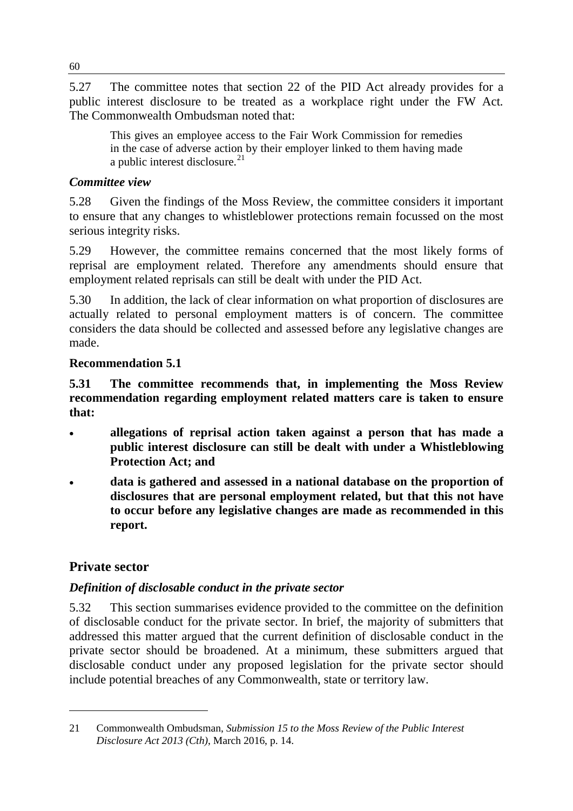5.27 The committee notes that section 22 of the PID Act already provides for a public interest disclosure to be treated as a workplace right under the FW Act*.* The Commonwealth Ombudsman noted that:

This gives an employee access to the Fair Work Commission for remedies in the case of adverse action by their employer linked to them having made a public interest disclosure. $^{21}$  $^{21}$  $^{21}$ 

### *Committee view*

5.28 Given the findings of the Moss Review, the committee considers it important to ensure that any changes to whistleblower protections remain focussed on the most serious integrity risks.

5.29 However, the committee remains concerned that the most likely forms of reprisal are employment related. Therefore any amendments should ensure that employment related reprisals can still be dealt with under the PID Act.

5.30 In addition, the lack of clear information on what proportion of disclosures are actually related to personal employment matters is of concern. The committee considers the data should be collected and assessed before any legislative changes are made.

### **Recommendation 5.1**

**5.31 The committee recommends that, in implementing the Moss Review recommendation regarding employment related matters care is taken to ensure that:**

- **allegations of reprisal action taken against a person that has made a public interest disclosure can still be dealt with under a Whistleblowing Protection Act; and**
- **data is gathered and assessed in a national database on the proportion of disclosures that are personal employment related, but that this not have to occur before any legislative changes are made as recommended in this report.**

# **Private sector**

-

# *Definition of disclosable conduct in the private sector*

5.32 This section summarises evidence provided to the committee on the definition of disclosable conduct for the private sector. In brief, the majority of submitters that addressed this matter argued that the current definition of disclosable conduct in the private sector should be broadened. At a minimum, these submitters argued that disclosable conduct under any proposed legislation for the private sector should include potential breaches of any Commonwealth, state or territory law.

<span id="page-7-0"></span><sup>21</sup> Commonwealth Ombudsman, *Submission 15 to the Moss Review of the Public Interest Disclosure Act 2013 (Cth)*, March 2016, p. 14.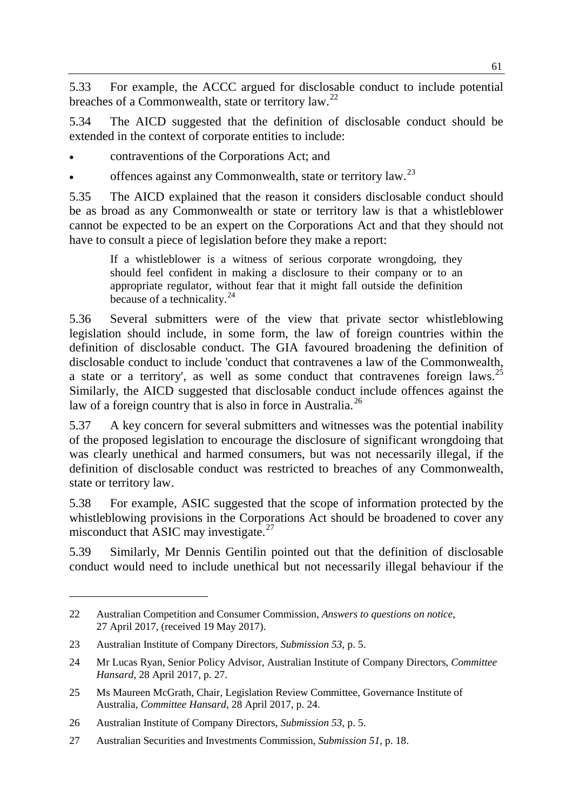5.33 For example, the ACCC argued for disclosable conduct to include potential breaches of a Commonwealth, state or territory law.<sup>[22](#page-8-0)</sup>

5.34 The AICD suggested that the definition of disclosable conduct should be extended in the context of corporate entities to include:

• contraventions of the Corporations Act; and

offences against any Commonwealth, state or territory law.<sup>[23](#page-8-1)</sup>

5.35 The AICD explained that the reason it considers disclosable conduct should be as broad as any Commonwealth or state or territory law is that a whistleblower cannot be expected to be an expert on the Corporations Act and that they should not have to consult a piece of legislation before they make a report:

If a whistleblower is a witness of serious corporate wrongdoing, they should feel confident in making a disclosure to their company or to an appropriate regulator, without fear that it might fall outside the definition because of a technicality. $^{24}$  $^{24}$  $^{24}$ 

5.36 Several submitters were of the view that private sector whistleblowing legislation should include, in some form, the law of foreign countries within the definition of disclosable conduct. The GIA favoured broadening the definition of disclosable conduct to include 'conduct that contravenes a law of the Commonwealth, a state or a territory', as well as some conduct that contravenes foreign laws.<sup>[25](#page-8-3)</sup> Similarly, the AICD suggested that disclosable conduct include offences against the law of a foreign country that is also in force in Australia.<sup>[26](#page-8-4)</sup>

5.37 A key concern for several submitters and witnesses was the potential inability of the proposed legislation to encourage the disclosure of significant wrongdoing that was clearly unethical and harmed consumers, but was not necessarily illegal, if the definition of disclosable conduct was restricted to breaches of any Commonwealth, state or territory law.

5.38 For example, ASIC suggested that the scope of information protected by the whistleblowing provisions in the Corporations Act should be broadened to cover any misconduct that ASIC may investigate. $27$ 

5.39 Similarly, Mr Dennis Gentilin pointed out that the definition of disclosable conduct would need to include unethical but not necessarily illegal behaviour if the

<span id="page-8-0"></span><sup>22</sup> Australian Competition and Consumer Commission, *Answers to questions on notice*, 27 April 2017, (received 19 May 2017).

<span id="page-8-1"></span><sup>23</sup> Australian Institute of Company Directors, *Submission 53*, p. 5.

<span id="page-8-2"></span><sup>24</sup> Mr Lucas Ryan, Senior Policy Advisor, Australian Institute of Company Directors, *Committee Hansard*, 28 April 2017, p. 27.

<span id="page-8-3"></span><sup>25</sup> Ms Maureen McGrath, Chair, Legislation Review Committee, Governance Institute of Australia, *Committee Hansard*, 28 April 2017, p. 24.

<span id="page-8-4"></span><sup>26</sup> Australian Institute of Company Directors, *Submission 53*, p. 5.

<span id="page-8-5"></span><sup>27</sup> Australian Securities and Investments Commission, *Submission 51*, p. 18.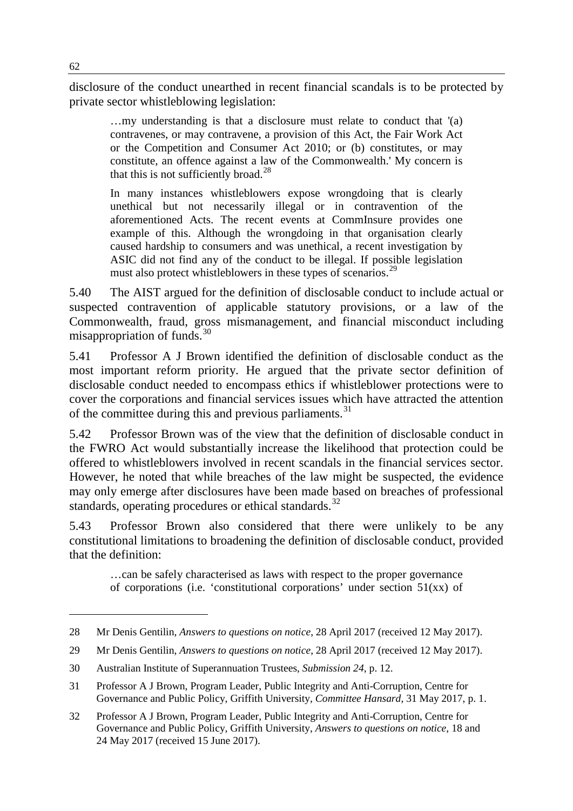disclosure of the conduct unearthed in recent financial scandals is to be protected by private sector whistleblowing legislation:

…my understanding is that a disclosure must relate to conduct that '(a) contravenes, or may contravene, a provision of this Act, the Fair Work Act or the Competition and Consumer Act 2010; or (b) constitutes, or may constitute, an offence against a law of the Commonwealth.' My concern is that this is not sufficiently broad.<sup>[28](#page-9-0)</sup>

In many instances whistleblowers expose wrongdoing that is clearly unethical but not necessarily illegal or in contravention of the aforementioned Acts. The recent events at CommInsure provides one example of this. Although the wrongdoing in that organisation clearly caused hardship to consumers and was unethical, a recent investigation by ASIC did not find any of the conduct to be illegal. If possible legislation must also protect whistleblowers in these types of scenarios.<sup>[29](#page-9-1)</sup>

5.40 The AIST argued for the definition of disclosable conduct to include actual or suspected contravention of applicable statutory provisions, or a law of the Commonwealth, fraud, gross mismanagement, and financial misconduct including misappropriation of funds.[30](#page-9-2)

5.41 Professor A J Brown identified the definition of disclosable conduct as the most important reform priority. He argued that the private sector definition of disclosable conduct needed to encompass ethics if whistleblower protections were to cover the corporations and financial services issues which have attracted the attention of the committee during this and previous parliaments.<sup>[31](#page-9-3)</sup>

5.42 Professor Brown was of the view that the definition of disclosable conduct in the FWRO Act would substantially increase the likelihood that protection could be offered to whistleblowers involved in recent scandals in the financial services sector. However, he noted that while breaches of the law might be suspected, the evidence may only emerge after disclosures have been made based on breaches of professional standards, operating procedures or ethical standards.<sup>[32](#page-9-4)</sup>

5.43 Professor Brown also considered that there were unlikely to be any constitutional limitations to broadening the definition of disclosable conduct, provided that the definition:

…can be safely characterised as laws with respect to the proper governance of corporations (i.e. 'constitutional corporations' under section  $51(xx)$  of

<span id="page-9-0"></span><sup>28</sup> Mr Denis Gentilin, *Answers to questions on notice*, 28 April 2017 (received 12 May 2017).

<span id="page-9-1"></span><sup>29</sup> Mr Denis Gentilin, *Answers to questions on notice*, 28 April 2017 (received 12 May 2017).

<span id="page-9-2"></span><sup>30</sup> Australian Institute of Superannuation Trustees, *Submission 24*, p. 12.

<span id="page-9-3"></span><sup>31</sup> Professor A J Brown, Program Leader, Public Integrity and Anti-Corruption, Centre for Governance and Public Policy, Griffith University, *Committee Hansard*, 31 May 2017, p. 1.

<span id="page-9-4"></span><sup>32</sup> Professor A J Brown, Program Leader, Public Integrity and Anti-Corruption, Centre for Governance and Public Policy, Griffith University, *Answers to questions on notice*, 18 and 24 May 2017 (received 15 June 2017).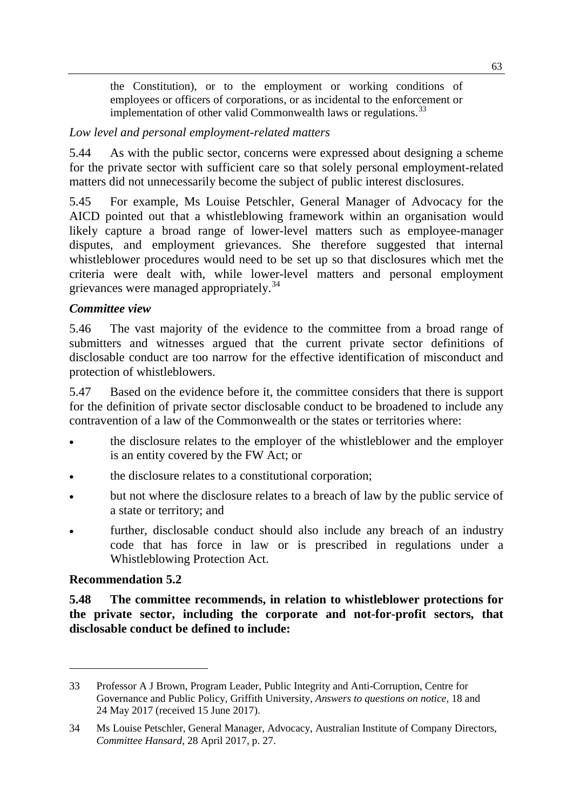the Constitution), or to the employment or working conditions of employees or officers of corporations, or as incidental to the enforcement or implementation of other valid Commonwealth laws or regulations.<sup>[33](#page-10-0)</sup>

#### *Low level and personal employment-related matters*

5.44 As with the public sector, concerns were expressed about designing a scheme for the private sector with sufficient care so that solely personal employment-related matters did not unnecessarily become the subject of public interest disclosures.

5.45 For example, Ms Louise Petschler, General Manager of Advocacy for the AICD pointed out that a whistleblowing framework within an organisation would likely capture a broad range of lower-level matters such as employee-manager disputes, and employment grievances. She therefore suggested that internal whistleblower procedures would need to be set up so that disclosures which met the criteria were dealt with, while lower-level matters and personal employment grievances were managed appropriately.<sup>[34](#page-10-1)</sup>

#### *Committee view*

5.46 The vast majority of the evidence to the committee from a broad range of submitters and witnesses argued that the current private sector definitions of disclosable conduct are too narrow for the effective identification of misconduct and protection of whistleblowers.

5.47 Based on the evidence before it, the committee considers that there is support for the definition of private sector disclosable conduct to be broadened to include any contravention of a law of the Commonwealth or the states or territories where:

- the disclosure relates to the employer of the whistleblower and the employer is an entity covered by the FW Act; or
- the disclosure relates to a constitutional corporation;
- but not where the disclosure relates to a breach of law by the public service of a state or territory; and
- further, disclosable conduct should also include any breach of an industry code that has force in law or is prescribed in regulations under a Whistleblowing Protection Act.

#### **Recommendation 5.2**

-

**5.48 The committee recommends, in relation to whistleblower protections for the private sector, including the corporate and not-for-profit sectors, that disclosable conduct be defined to include:**

<span id="page-10-0"></span><sup>33</sup> Professor A J Brown, Program Leader, Public Integrity and Anti-Corruption, Centre for Governance and Public Policy, Griffith University, *Answers to questions on notice*, 18 and 24 May 2017 (received 15 June 2017).

<span id="page-10-1"></span><sup>34</sup> Ms Louise Petschler, General Manager, Advocacy, Australian Institute of Company Directors, *Committee Hansard*, 28 April 2017, p. 27.